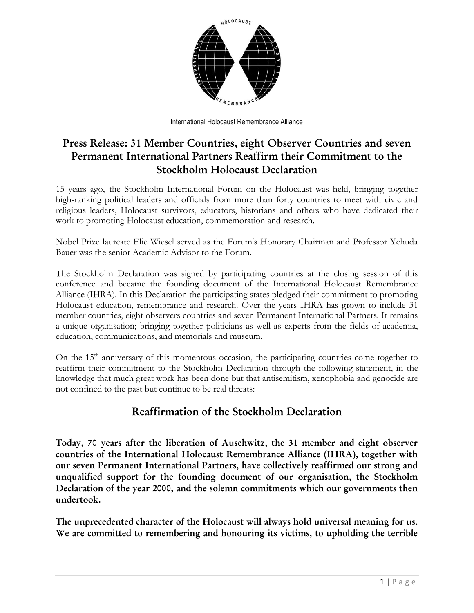

International Holocaust Remembrance Alliance

# **Press Release: 31 Member Countries, eight Observer Countries and seven Permanent International Partners Reaffirm their Commitment to the Stockholm Holocaust Declaration**

15 years ago, the Stockholm International Forum on the Holocaust was held, bringing together high-ranking political leaders and officials from more than forty countries to meet with civic and religious leaders, Holocaust survivors, educators, historians and others who have dedicated their work to promoting Holocaust education, commemoration and research.

Nobel Prize laureate Elie Wiesel served as the Forum's Honorary Chairman and Professor Yehuda Bauer was the senior Academic Advisor to the Forum.

The Stockholm Declaration was signed by participating countries at the closing session of this conference and became the founding document of the International Holocaust Remembrance Alliance (IHRA). In this Declaration the participating states pledged their commitment to promoting Holocaust education, remembrance and research. Over the years IHRA has grown to include 31 member countries, eight observers countries and seven Permanent International Partners. It remains a unique organisation; bringing together politicians as well as experts from the fields of academia, education, communications, and memorials and museum.

On the 15<sup>th</sup> anniversary of this momentous occasion, the participating countries come together to reaffirm their commitment to the Stockholm Declaration through the following statement, in the knowledge that much great work has been done but that antisemitism, xenophobia and genocide are not confined to the past but continue to be real threats:

## **Reaffirmation of the Stockholm Declaration**

**Today, 70 years after the liberation of Auschwitz, the 31 member and eight observer countries of the International Holocaust Remembrance Alliance (IHRA), together with our seven Permanent International Partners, have collectively reaffirmed our strong and unqualified support for the founding document of our organisation, the Stockholm Declaration of the year 2000, and the solemn commitments which our governments then undertook.**

**The unprecedented character of the Holocaust will always hold universal meaning for us. We are committed to remembering and honouring its victims, to upholding the terrible**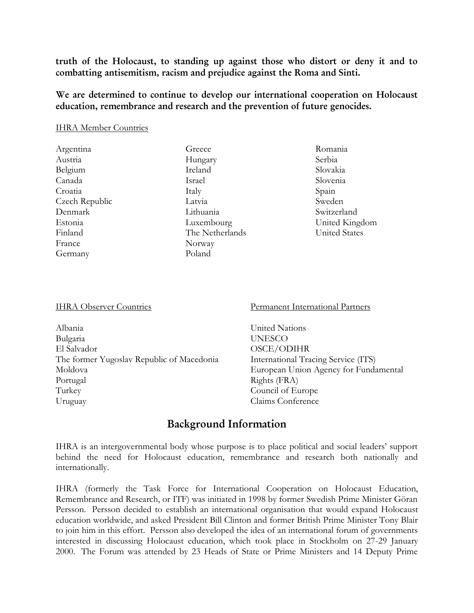**truth of the Holocaust, to standing up against those who distort or deny it and to combatting antisemitism, racism and prejudice against the Roma and Sinti.**

**We are determined to continue to develop our international cooperation on Holocaust education, remembrance and research and the prevention of future genocides.**

#### IHRA Member Countries

| Argentina      | Greece          |
|----------------|-----------------|
| Austria        | Hungary         |
| Belgium        | Ireland         |
| Canada         | Israel          |
| Croatia        | Italy           |
| Czech Republic | Latvia          |
| Denmark        | Lithuania       |
| Estonia        | Luxembourg      |
| Finland        | The Netherlands |
| France         | Norway          |
| Germany        | Poland          |
|                |                 |

Romania Serbia Slovakia Slovenia Spain Sweden Switzerland United Kingdom United States

#### IHRA Observer Countries

Albania Bulgaria El Salvador The former Yugoslav Republic of Macedonia Moldova Portugal Turkey Uruguay

Permanent International Partners

[United Nations](https://www.holocaustremembrance.com/international-organisations/united-nations) [UNESCO](https://www.holocaustremembrance.com/international-organisations/unesco) [OSCE/ODIHR](https://www.holocaustremembrance.com/international-organisations/osceodihr) [International Tracing Service \(ITS\)](http://www.holocaustremembrance.com/international-tracing-service-its) [European Union Agency for Fundamental](https://www.holocaustremembrance.com/permanent-observers/european-union-agency-fundamental-rights-eufra)  [Rights \(FRA\)](https://www.holocaustremembrance.com/permanent-observers/european-union-agency-fundamental-rights-eufra) [Council of Europe](https://www.holocaustremembrance.com/permanent-observers/council-europe) [Claims Conference](https://www.holocaustremembrance.com/permanent-observers/claims-conference)

### **Background Information**

IHRA is an intergovernmental body whose purpose is to place political and social leaders' support behind the need for Holocaust education, remembrance and research both nationally and internationally.

IHRA (formerly the Task Force for International Cooperation on Holocaust Education, Remembrance and Research, or ITF) was initiated in 1998 by former Swedish Prime Minister Göran Persson. Persson decided to establish an international organisation that would expand Holocaust education worldwide, and asked President Bill Clinton and former British Prime Minister Tony Blair to join him in this effort. Persson also developed the idea of an international forum of governments interested in discussing Holocaust education, which took place in Stockholm on 27-29 January 2000. The Forum was attended by 23 Heads of State or Prime Ministers and 14 Deputy Prime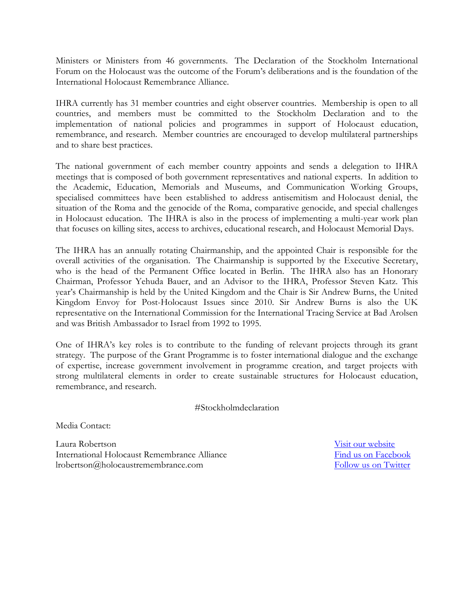Ministers or Ministers from 46 governments. The Declaration of the Stockholm International Forum on the Holocaust was the outcome of the Forum's deliberations and is the foundation of the International Holocaust Remembrance Alliance.

IHRA currently has 31 member countries and eight observer countries. Membership is open to all countries, and members must be committed to the Stockholm Declaration and to the implementation of national policies and programmes in support of Holocaust education, remembrance, and research. Member countries are encouraged to develop multilateral partnerships and to share best practices.

The national government of each member country appoints and sends a delegation to IHRA meetings that is composed of both government representatives and national experts. In addition to the Academic, Education, Memorials and Museums, and Communication Working Groups, specialised committees have been established to address antisemitism and Holocaust denial, the situation of the Roma and the genocide of the Roma, comparative genocide, and special challenges in Holocaust education. The IHRA is also in the process of implementing a multi-year work plan that focuses on killing sites, access to archives, educational research, and Holocaust Memorial Days.

The IHRA has an annually rotating Chairmanship, and the appointed Chair is responsible for the overall activities of the organisation. The Chairmanship is supported by the Executive Secretary, who is the head of the Permanent Office located in Berlin. The IHRA also has an Honorary Chairman, Professor Yehuda Bauer, and an Advisor to the IHRA, Professor Steven Katz. This year's Chairmanship is held by the United Kingdom and the Chair is Sir Andrew Burns, the United Kingdom Envoy for Post-Holocaust Issues since 2010. Sir Andrew Burns is also the UK representative on the International Commission for the International Tracing Service at Bad Arolsen and was British Ambassador to Israel from 1992 to 1995.

One of IHRA's key roles is to contribute to the funding of relevant projects through its grant strategy. The purpose of the Grant Programme is to foster international dialogue and the exchange of expertise, increase government involvement in programme creation, and target projects with strong multilateral elements in order to create sustainable structures for Holocaust education, remembrance, and research.

#Stockholmdeclaration

Media Contact:

Laura Robertson [Visit our website](http://www.holocaustremembrance.com/) International Holocaust Remembrance Alliance **[Find us on Facebook](https://www.facebook.com/IHRAnews)** lrobertson@holocaustremembrance.com [Follow us on Twitter](https://twitter.com/IHRA_news)